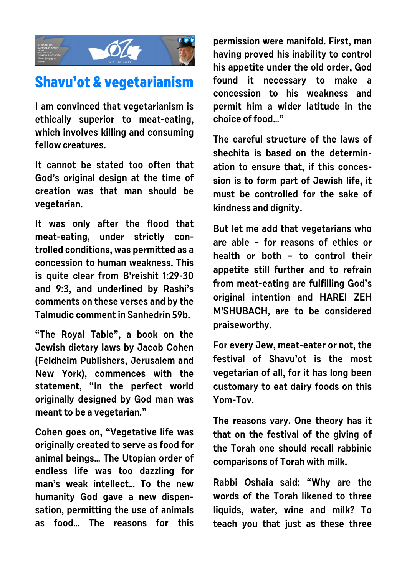

## **Shavu'ot & vegetarianism**

**I am convinced that vegetarianism is ethically superior to meat-eating, which involves killing and consuming fellow creatures.**

**It cannot be stated too often that God's original design at the time of creation was that man should be vegetarian.**

**It was only after the flood that meat-eating, under strictly controlled conditions, was permitted as a concession to human weakness. This is quite clear from B'reishit 1:29-30 and 9:3, and underlined by Rashi's comments on these verses and by the Talmudic comment in Sanhedrin 59b.**

**"The Royal Table", a book on the Jewish dietary laws by Jacob Cohen (Feldheim Publishers, Jerusalem and New York), commences with the statement, "In the perfect world originally designed by God man was meant to be a vegetarian."**

**Cohen goes on, "Vegetative life was originally created to serve as food for animal beings… The Utopian order of endless life was too dazzling for man's weak intellect… To the new humanity God gave a new dispensation, permitting the use of animals as food… The reasons for this**

**permission were manifold. First, man having proved his inability to control his appetite under the old order, God found it necessary to make a concession to his weakness and permit him a wider latitude in the choice of food…"**

**The careful structure of the laws of shechita is based on the determination to ensure that, if this concession is to form part of Jewish life, it must be controlled for the sake of kindness and dignity.**

**But let me add that vegetarians who are able – for reasons of ethics or health or both – to control their appetite still further and to refrain from meat-eating are fulfilling God's original intention and HAREI ZEH M'SHUBACH, are to be considered praiseworthy.**

**For every Jew, meat-eater or not, the festival of Shavu'ot is the most vegetarian of all, for it has long been customary to eat dairy foods on this Yom-Tov.**

**The reasons vary. One theory has it that on the festival of the giving of the Torah one should recall rabbinic comparisons of Torah with milk.**

**Rabbi Oshaia said: "Why are the words of the Torah likened to three liquids, water, wine and milk? To teach you that just as these three**